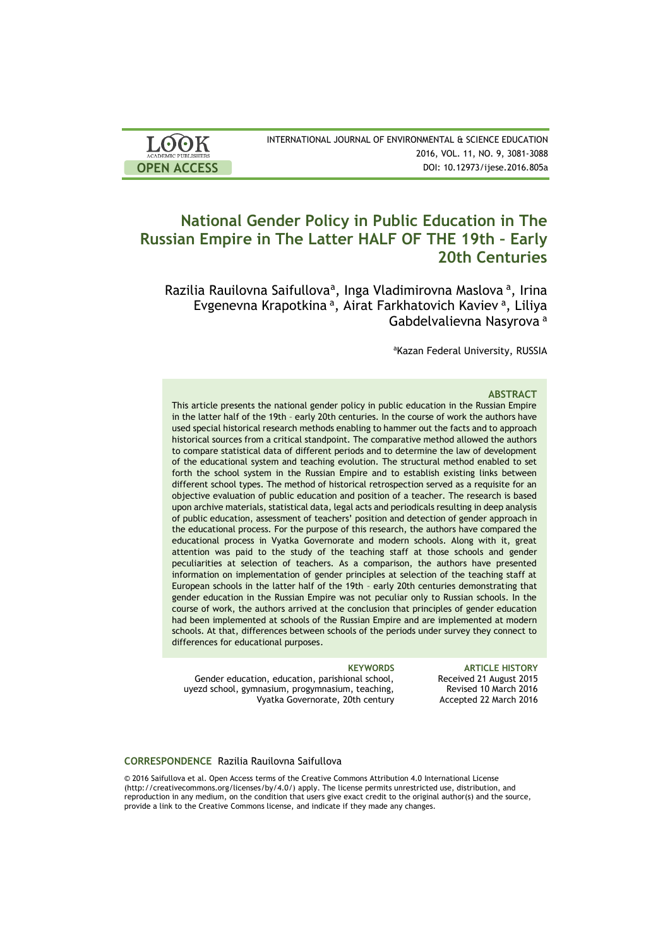| <b>LOOK</b>                | INTERNATIONAL JOURNAL OF ENVIRONMENTAL & SCIENCE EDUCATION |
|----------------------------|------------------------------------------------------------|
| <b>ACADEMIC PUBLISHERS</b> | 2016, VOL. 11, NO. 9, 3081-3088                            |
| <b>OPEN ACCESS</b>         | DOI: 10.12973/ijese.2016.805a                              |

# **National Gender Policy in Public Education in The Russian Empire in The Latter HALF OF THE 19th – Early 20th Centuries**

Razilia Rauilovna Saifullova<sup>a</sup>, Inga Vladimirovna Maslova<sup>a</sup>, Irina Evgenevna Krapotkina<sup>a</sup>, Airat Farkhatovich Kaviev<sup>a</sup>, Liliya Gabdelvalievna Nasyrova <sup>a</sup>

aKazan Federal University, RUSSIA

### **ABSTRACT**

This article presents the national gender policy in public education in the Russian Empire in the latter half of the 19th – early 20th centuries. In the course of work the authors have used special historical research methods enabling to hammer out the facts and to approach historical sources from a critical standpoint. The comparative method allowed the authors to compare statistical data of different periods and to determine the law of development of the educational system and teaching evolution. The structural method enabled to set forth the school system in the Russian Empire and to establish existing links between different school types. The method of historical retrospection served as a requisite for an objective evaluation of public education and position of a teacher. The research is based upon archive materials, statistical data, legal acts and periodicals resulting in deep analysis of public education, assessment of teachers' position and detection of gender approach in the educational process. For the purpose of this research, the authors have compared the educational process in Vyatka Governorate and modern schools. Along with it, great attention was paid to the study of the teaching staff at those schools and gender peculiarities at selection of teachers. As a comparison, the authors have presented information on implementation of gender principles at selection of the teaching staff at European schools in the latter half of the 19th – early 20th centuries demonstrating that gender education in the Russian Empire was not peculiar only to Russian schools. In the course of work, the authors arrived at the conclusion that principles of gender education had been implemented at schools of the Russian Empire and are implemented at modern schools. At that, differences between schools of the periods under survey they connect to differences for educational purposes.

Gender education, education, parishional school, uyezd school, gymnasium, progymnasium, teaching, Vyatka Governorate, 20th century

**KEYWORDS ARTICLE HISTORY** Received 21 August 2015 Revised 10 March 2016 Accepted 22 March 2016

### **CORRESPONDENCE** Razilia Rauilovna Saifullova

© 2016 Saifullova et al. Open Access terms of the Creative Commons Attribution 4.0 International License (http://creativecommons.org/licenses/by/4.0/) apply. The license permits unrestricted use, distribution, and reproduction in any medium, on the condition that users give exact credit to the original author(s) and the source, provide a link to the Creative Commons license, and indicate if they made any changes.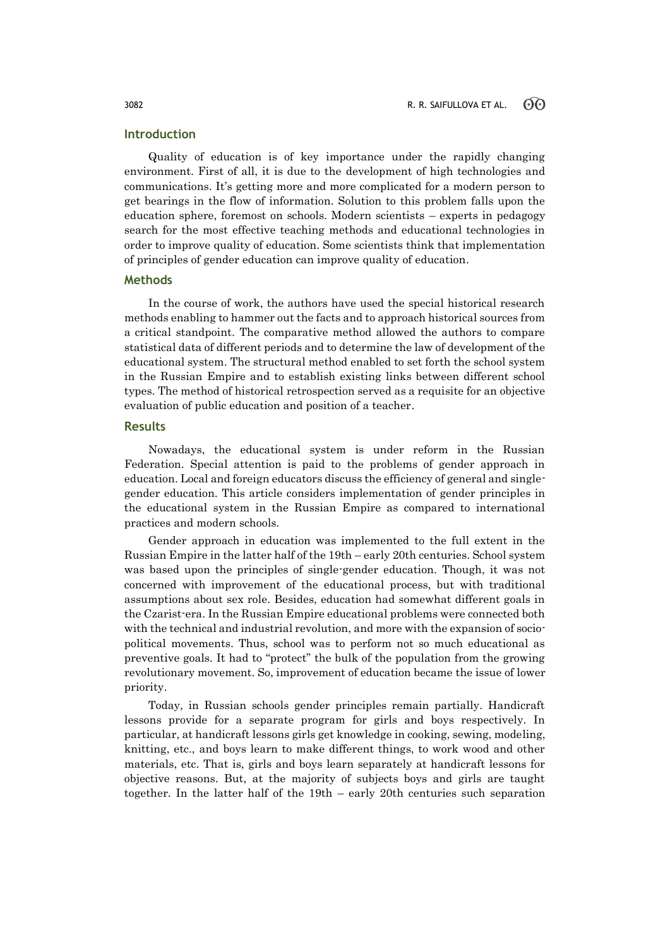## **Introduction**

Quality of education is of key importance under the rapidly changing environment. First of all, it is due to the development of high technologies and communications. It's getting more and more complicated for a modern person to get bearings in the flow of information. Solution to this problem falls upon the education sphere, foremost on schools. Modern scientists – experts in pedagogy search for the most effective teaching methods and educational technologies in order to improve quality of education. Some scientists think that implementation of principles of gender education can improve quality of education.

### **Methods**

In the course of work, the authors have used the special historical research methods enabling to hammer out the facts and to approach historical sources from a critical standpoint. The comparative method allowed the authors to compare statistical data of different periods and to determine the law of development of the educational system. The structural method enabled to set forth the school system in the Russian Empire and to establish existing links between different school types. The method of historical retrospection served as a requisite for an objective evaluation of public education and position of a teacher.

## **Results**

Nowadays, the educational system is under reform in the Russian Federation. Special attention is paid to the problems of gender approach in education. Local and foreign educators discuss the efficiency of general and singlegender education. This article considers implementation of gender principles in the educational system in the Russian Empire as compared to international practices and modern schools.

Gender approach in education was implemented to the full extent in the Russian Empire in the latter half of the 19th – early 20th centuries. School system was based upon the principles of single-gender education. Though, it was not concerned with improvement of the educational process, but with traditional assumptions about sex role. Besides, education had somewhat different goals in the Czarist-era. In the Russian Empire educational problems were connected both with the technical and industrial revolution, and more with the expansion of sociopolitical movements. Thus, school was to perform not so much educational as preventive goals. It had to "protect" the bulk of the population from the growing revolutionary movement. So, improvement of education became the issue of lower priority.

Today, in Russian schools gender principles remain partially. Handicraft lessons provide for a separate program for girls and boys respectively. In particular, at handicraft lessons girls get knowledge in cooking, sewing, modeling, knitting, etc., and boys learn to make different things, to work wood and other materials, etc. That is, girls and boys learn separately at handicraft lessons for objective reasons. But, at the majority of subjects boys and girls are taught together. In the latter half of the 19th – early 20th centuries such separation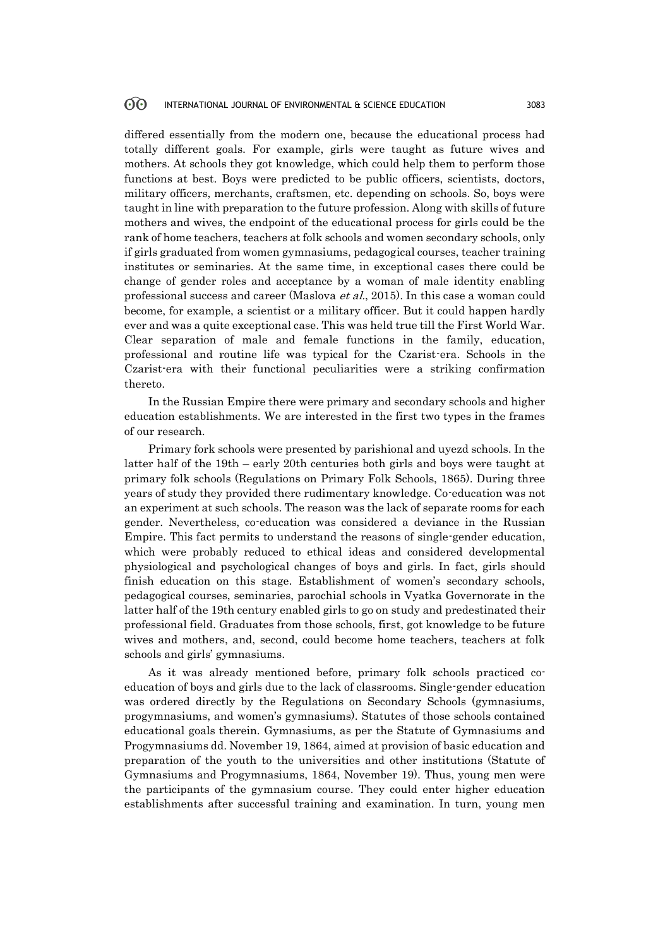differed essentially from the modern one, because the educational process had totally different goals. For example, girls were taught as future wives and mothers. At schools they got knowledge, which could help them to perform those functions at best. Boys were predicted to be public officers, scientists, doctors, military officers, merchants, craftsmen, etc. depending on schools. So, boys were taught in line with preparation to the future profession. Along with skills of future mothers and wives, the endpoint of the educational process for girls could be the rank of home teachers, teachers at folk schools and women secondary schools, only if girls graduated from women gymnasiums, pedagogical courses, teacher training institutes or seminaries. At the same time, in exceptional cases there could be change of gender roles and acceptance by a woman of male identity enabling professional success and career (Maslova et al., 2015). In this case a woman could become, for example, a scientist or a military officer. But it could happen hardly ever and was a quite exceptional case. This was held true till the First World War. Clear separation of male and female functions in the family, education, professional and routine life was typical for the Czarist-era. Schools in the Czarist-era with their functional peculiarities were a striking confirmation thereto.

In the Russian Empire there were primary and secondary schools and higher education establishments. We are interested in the first two types in the frames of our research.

Primary fork schools were presented by parishional and uyezd schools. In the latter half of the 19th – early 20th centuries both girls and boys were taught at primary folk schools (Regulations on Primary Folk Schools, 1865). During three years of study they provided there rudimentary knowledge. Co-education was not an experiment at such schools. The reason was the lack of separate rooms for each gender. Nevertheless, co-education was considered a deviance in the Russian Empire. This fact permits to understand the reasons of single-gender education, which were probably reduced to ethical ideas and considered developmental physiological and psychological changes of boys and girls. In fact, girls should finish education on this stage. Establishment of women's secondary schools, pedagogical courses, seminaries, parochial schools in Vyatka Governorate in the latter half of the 19th century enabled girls to go on study and predestinated their professional field. Graduates from those schools, first, got knowledge to be future wives and mothers, and, second, could become home teachers, teachers at folk schools and girls' gymnasiums.

As it was already mentioned before, primary folk schools practiced coeducation of boys and girls due to the lack of classrooms. Single-gender education was ordered directly by the Regulations on Secondary Schools (gymnasiums, progymnasiums, and women's gymnasiums). Statutes of those schools contained educational goals therein. Gymnasiums, as per the Statute of Gymnasiums and Progymnasiums dd. November 19, 1864, aimed at provision of basic education and preparation of the youth to the universities and other institutions (Statute of Gymnasiums and Progymnasiums, 1864, November 19). Thus, young men were the participants of the gymnasium course. They could enter higher education establishments after successful training and examination. In turn, young men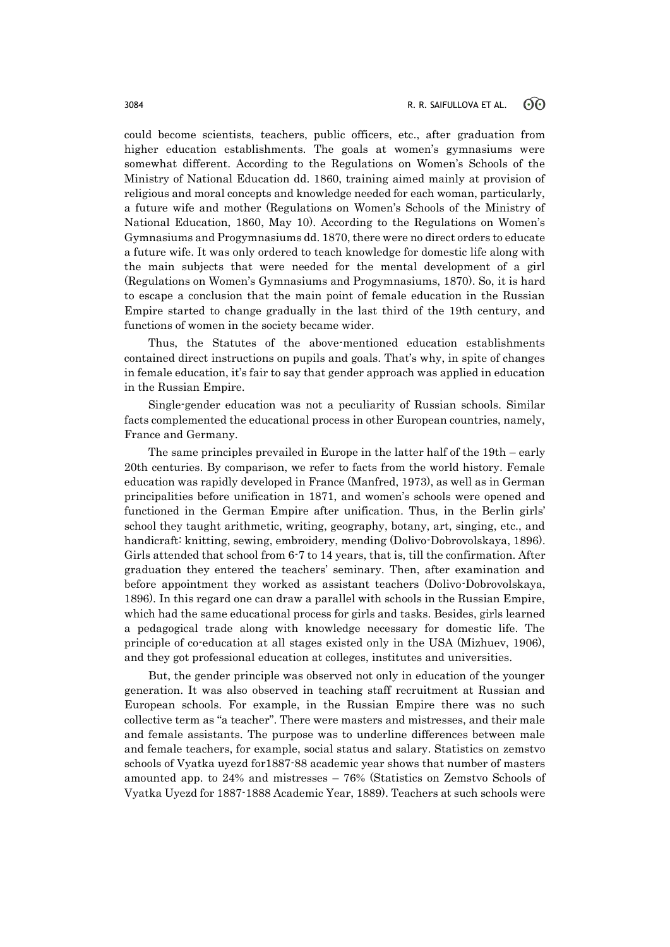could become scientists, teachers, public officers, etc., after graduation from higher education establishments. The goals at women's gymnasiums were somewhat different. According to the Regulations on Women's Schools of the Ministry of National Education dd. 1860, training aimed mainly at provision of religious and moral concepts and knowledge needed for each woman, particularly, a future wife and mother (Regulations on Women's Schools of the Ministry of National Education, 1860, May 10). According to the Regulations on Women's Gymnasiums and Progymnasiums dd. 1870, there were no direct orders to educate a future wife. It was only ordered to teach knowledge for domestic life along with the main subjects that were needed for the mental development of a girl (Regulations on Women's Gymnasiums and Progymnasiums, 1870). So, it is hard to escape a conclusion that the main point of female education in the Russian Empire started to change gradually in the last third of the 19th century, and functions of women in the society became wider.

Thus, the Statutes of the above-mentioned education establishments contained direct instructions on pupils and goals. That's why, in spite of changes in female education, it's fair to say that gender approach was applied in education in the Russian Empire.

Single-gender education was not a peculiarity of Russian schools. Similar facts complemented the educational process in other European countries, namely, France and Germany.

The same principles prevailed in Europe in the latter half of the 19th – early 20th centuries. By comparison, we refer to facts from the world history. Female education was rapidly developed in France (Manfred, 1973), as well as in German principalities before unification in 1871, and women's schools were opened and functioned in the German Empire after unification. Thus, in the Berlin girls' school they taught arithmetic, writing, geography, botany, art, singing, etc., and handicraft: knitting, sewing, embroidery, mending (Dolivo-Dobrovolskaya, 1896). Girls attended that school from 6-7 to 14 years, that is, till the confirmation. After graduation they entered the teachers' seminary. Then, after examination and before appointment they worked as assistant teachers (Dolivo-Dobrovolskaya, 1896). In this regard one can draw a parallel with schools in the Russian Empire, which had the same educational process for girls and tasks. Besides, girls learned a pedagogical trade along with knowledge necessary for domestic life. The principle of co-education at all stages existed only in the USA (Mizhuev, 1906), and they got professional education at colleges, institutes and universities.

But, the gender principle was observed not only in education of the younger generation. It was also observed in teaching staff recruitment at Russian and European schools. For example, in the Russian Empire there was no such collective term as "a teacher". There were masters and mistresses, and their male and female assistants. The purpose was to underline differences between male and female teachers, for example, social status and salary. Statistics on zemstvo schools of Vyatka uyezd for1887-88 academic year shows that number of masters amounted app. to 24% and mistresses – 76% (Statistics on Zemstvo Schools of Vyatka Uyezd for 1887-1888 Academic Year, 1889). Teachers at such schools were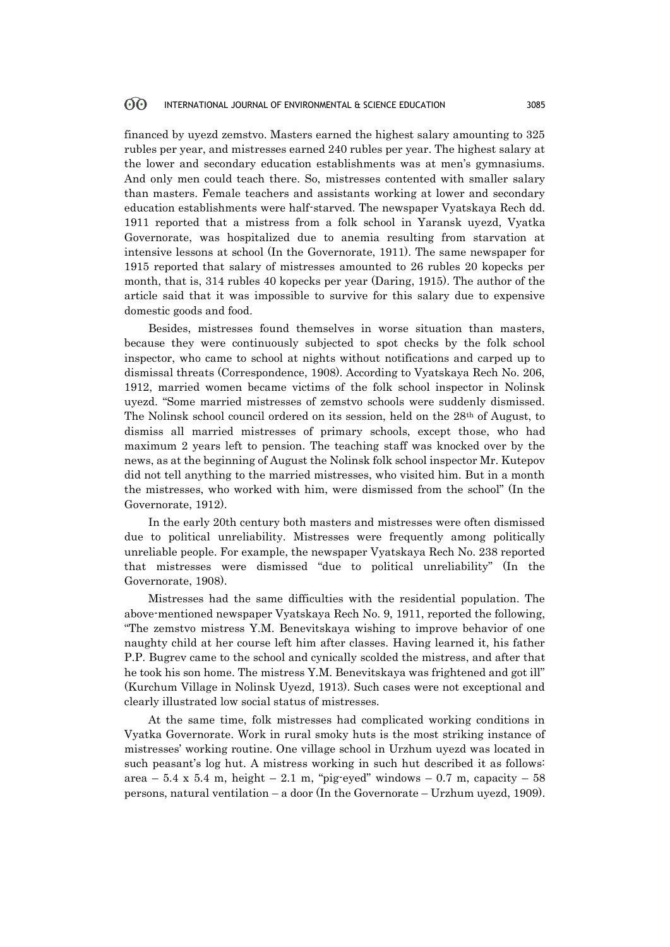### $60^{\circ}$ INTERNATIONAL JOURNAL OF ENVIRONMENTAL & SCIENCE EDUCATION 3085

financed by uyezd zemstvo. Masters earned the highest salary amounting to 325 rubles per year, and mistresses earned 240 rubles per year. The highest salary at the lower and secondary education establishments was at men's gymnasiums. And only men could teach there. So, mistresses contented with smaller salary than masters. Female teachers and assistants working at lower and secondary education establishments were half-starved. The newspaper Vyatskaya Rech dd. 1911 reported that a mistress from a folk school in Yaransk uyezd, Vyatka Governorate, was hospitalized due to anemia resulting from starvation at intensive lessons at school (In the Governorate, 1911). The same newspaper for 1915 reported that salary of mistresses amounted to 26 rubles 20 kopecks per month, that is, 314 rubles 40 kopecks per year (Daring, 1915). The author of the article said that it was impossible to survive for this salary due to expensive domestic goods and food.

Besides, mistresses found themselves in worse situation than masters, because they were continuously subjected to spot checks by the folk school inspector, who came to school at nights without notifications and carped up to dismissal threats (Correspondence, 1908). According to Vyatskaya Rech No. 206, 1912, married women became victims of the folk school inspector in Nolinsk uyezd. "Some married mistresses of zemstvo schools were suddenly dismissed. The Nolinsk school council ordered on its session, held on the 28th of August, to dismiss all married mistresses of primary schools, except those, who had maximum 2 years left to pension. The teaching staff was knocked over by the news, as at the beginning of August the Nolinsk folk school inspector Mr. Kutepov did not tell anything to the married mistresses, who visited him. But in a month the mistresses, who worked with him, were dismissed from the school" (In the Governorate, 1912).

In the early 20th century both masters and mistresses were often dismissed due to political unreliability. Mistresses were frequently among politically unreliable people. For example, the newspaper Vyatskaya Rech No. 238 reported that mistresses were dismissed "due to political unreliability" (In the Governorate, 1908).

Mistresses had the same difficulties with the residential population. The above-mentioned newspaper Vyatskaya Rech No. 9, 1911, reported the following, "The zemstvo mistress Y.M. Benevitskaya wishing to improve behavior of one naughty child at her course left him after classes. Having learned it, his father P.P. Bugrev came to the school and cynically scolded the mistress, and after that he took his son home. The mistress Y.M. Benevitskaya was frightened and got ill" (Kurchum Village in Nolinsk Uyezd, 1913). Such cases were not exceptional and clearly illustrated low social status of mistresses.

At the same time, folk mistresses had complicated working conditions in Vyatka Governorate. Work in rural smoky huts is the most striking instance of mistresses' working routine. One village school in Urzhum uyezd was located in such peasant's log hut. A mistress working in such hut described it as follows: area – 5.4 x 5.4 m, height – 2.1 m, "pig-eyed" windows – 0.7 m, capacity – 58 persons, natural ventilation – a door (In the Governorate – Urzhum uyezd, 1909).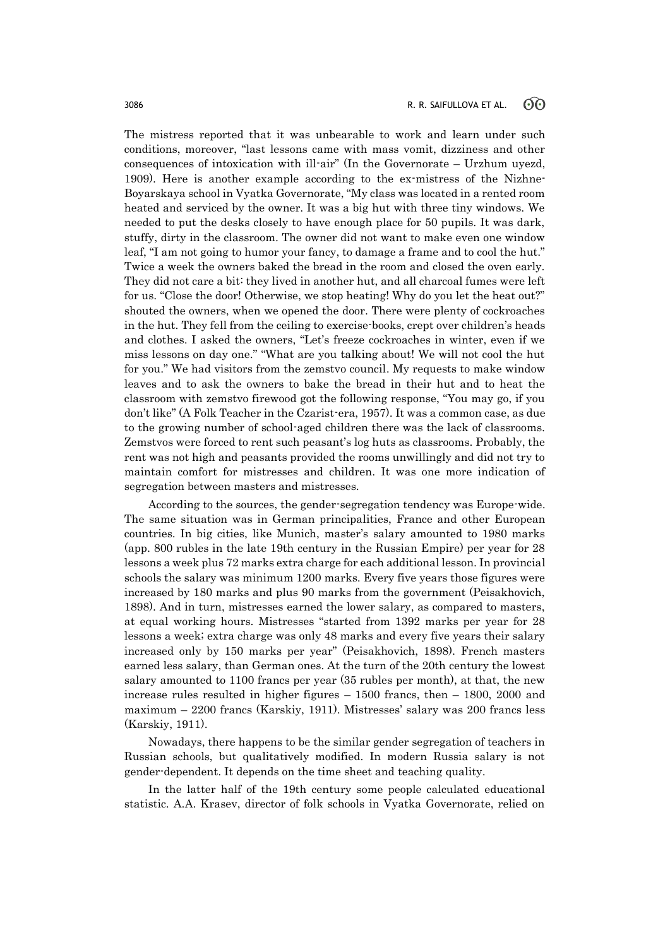The mistress reported that it was unbearable to work and learn under such conditions, moreover, "last lessons came with mass vomit, dizziness and other consequences of intoxication with ill-air" (In the Governorate – Urzhum uyezd, 1909). Here is another example according to the ex-mistress of the Nizhne-Boyarskaya school in Vyatka Governorate, "My class was located in a rented room heated and serviced by the owner. It was a big hut with three tiny windows. We needed to put the desks closely to have enough place for 50 pupils. It was dark, stuffy, dirty in the classroom. The owner did not want to make even one window leaf, "I am not going to humor your fancy, to damage a frame and to cool the hut." Twice a week the owners baked the bread in the room and closed the oven early. They did not care a bit: they lived in another hut, and all charcoal fumes were left for us. "Close the door! Otherwise, we stop heating! Why do you let the heat out?" shouted the owners, when we opened the door. There were plenty of cockroaches in the hut. They fell from the ceiling to exercise-books, crept over children's heads and clothes. I asked the owners, "Let's freeze cockroaches in winter, even if we miss lessons on day one." "What are you talking about! We will not cool the hut for you." We had visitors from the zemstvo council. My requests to make window leaves and to ask the owners to bake the bread in their hut and to heat the classroom with zemstvo firewood got the following response, "You may go, if you don't like" (A Folk Teacher in the Czarist-era, 1957). It was a common case, as due to the growing number of school-aged children there was the lack of classrooms. Zemstvos were forced to rent such peasant's log huts as classrooms. Probably, the rent was not high and peasants provided the rooms unwillingly and did not try to maintain comfort for mistresses and children. It was one more indication of segregation between masters and mistresses.

According to the sources, the gender-segregation tendency was Europe-wide. The same situation was in German principalities, France and other European countries. In big cities, like Munich, master's salary amounted to 1980 marks (app. 800 rubles in the late 19th century in the Russian Empire) per year for 28 lessons a week plus 72 marks extra charge for each additional lesson. In provincial schools the salary was minimum 1200 marks. Every five years those figures were increased by 180 marks and plus 90 marks from the government (Peisakhovich, 1898). And in turn, mistresses earned the lower salary, as compared to masters, at equal working hours. Mistresses "started from 1392 marks per year for 28 lessons a week; extra charge was only 48 marks and every five years their salary increased only by 150 marks per year" (Peisakhovich, 1898). French masters earned less salary, than German ones. At the turn of the 20th century the lowest salary amounted to 1100 francs per year (35 rubles per month), at that, the new increase rules resulted in higher figures – 1500 francs, then – 1800, 2000 and maximum – 2200 francs (Karskiy, 1911). Mistresses' salary was 200 francs less (Karskiy, 1911).

Nowadays, there happens to be the similar gender segregation of teachers in Russian schools, but qualitatively modified. In modern Russia salary is not gender-dependent. It depends on the time sheet and teaching quality.

In the latter half of the 19th century some people calculated educational statistic. A.A. Krasev, director of folk schools in Vyatka Governorate, relied on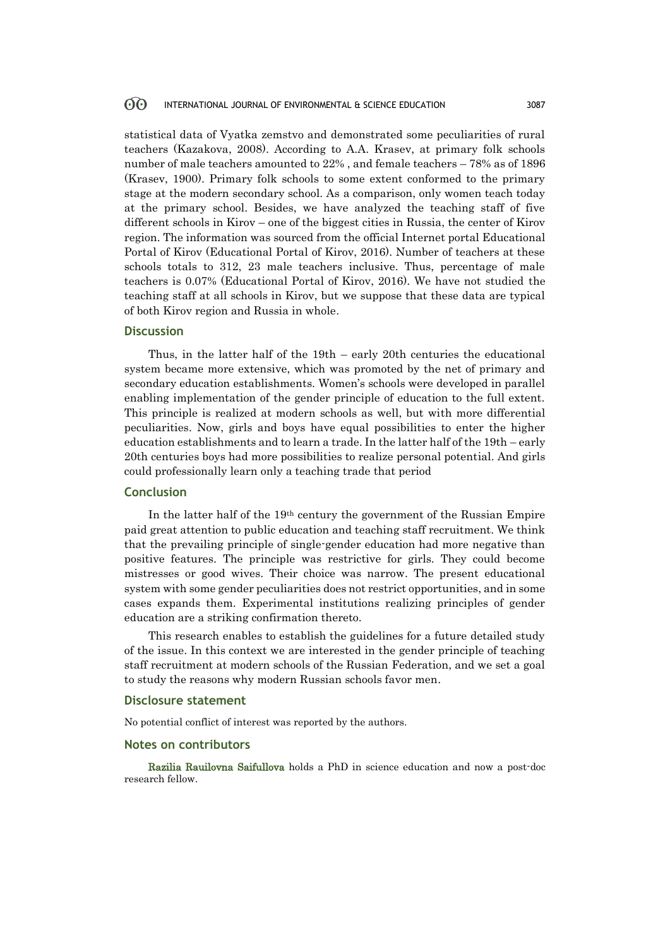### 60 INTERNATIONAL JOURNAL OF ENVIRONMENTAL & SCIENCE EDUCATION 3087

statistical data of Vyatka zemstvo and demonstrated some peculiarities of rural teachers (Kazakova, 2008). According to A.A. Krasev, at primary folk schools number of male teachers amounted to 22% , and female teachers – 78% as of 1896 (Krasev, 1900). Primary folk schools to some extent conformed to the primary stage at the modern secondary school. As a comparison, only women teach today at the primary school. Besides, we have analyzed the teaching staff of five different schools in Kirov – one of the biggest cities in Russia, the center of Kirov region. The information was sourced from the official Internet portal Educational Portal of Kirov (Educational Portal of Kirov, 2016). Number of teachers at these schools totals to 312, 23 male teachers inclusive. Thus, percentage of male teachers is 0.07% (Educational Portal of Kirov, 2016). We have not studied the teaching staff at all schools in Kirov, but we suppose that these data are typical of both Kirov region and Russia in whole.

### **Discussion**

Thus, in the latter half of the 19th – early 20th centuries the educational system became more extensive, which was promoted by the net of primary and secondary education establishments. Women's schools were developed in parallel enabling implementation of the gender principle of education to the full extent. This principle is realized at modern schools as well, but with more differential peculiarities. Now, girls and boys have equal possibilities to enter the higher education establishments and to learn a trade. In the latter half of the 19th – early 20th centuries boys had more possibilities to realize personal potential. And girls could professionally learn only a teaching trade that period

## **Conclusion**

In the latter half of the 19th century the government of the Russian Empire paid great attention to public education and teaching staff recruitment. We think that the prevailing principle of single-gender education had more negative than positive features. The principle was restrictive for girls. They could become mistresses or good wives. Their choice was narrow. The present educational system with some gender peculiarities does not restrict opportunities, and in some cases expands them. Experimental institutions realizing principles of gender education are a striking confirmation thereto.

This research enables to establish the guidelines for a future detailed study of the issue. In this context we are interested in the gender principle of teaching staff recruitment at modern schools of the Russian Federation, and we set a goal to study the reasons why modern Russian schools favor men.

### **Disclosure statement**

No potential conflict of interest was reported by the authors.

### **Notes on contributors**

Razilia Rauilovna Saifullova holds a PhD in science education and now a post-doc research fellow.